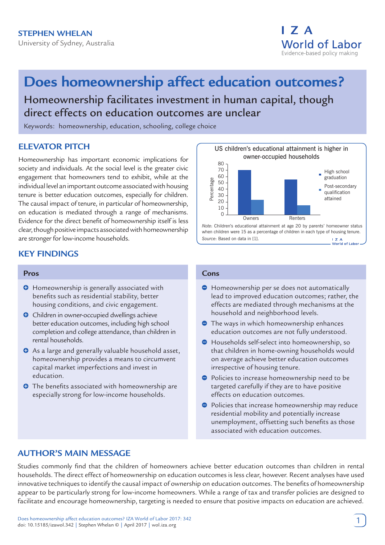

# **Does homeownership affect education outcomes?**

Homeownership facilitates investment in human capital, though direct effects on education outcomes are unclear

Keywords: homeownership, education, schooling, college choice

# **ELEVATOR PITCH**

Homeownership has important economic implications for society and individuals. At the social level is the greater civic engagement that homeowners tend to exhibit, while at the individual level an important outcome associated with housing tenure is better education outcomes, especially for children. The causal impact of tenure, in particular of homeownership, on education is mediated through a range of mechanisms. Evidence for the direct benefit of homeownership itself is less clear, though positive impacts associated with homeownership are stronger for low-income households.



# **KEY FINDINGS**

#### **Pros**

- $\Theta$  Homeownership is generally associated with benefits such as residential stability, better housing conditions, and civic engagement.
- **O** Children in owner-occupied dwellings achieve better education outcomes, including high school completion and college attendance, than children in rental households.
- **O** As a large and generally valuable household asset, homeownership provides a means to circumvent capital market imperfections and invest in education.
- **O** The benefits associated with homeownership are especially strong for low-income households.

#### **Cons**

- $\Theta$  Homeownership per se does not automatically lead to improved education outcomes; rather, the effects are mediated through mechanisms at the household and neighborhood levels.
- **•** The ways in which homeownership enhances education outcomes are not fully understood.
- Households self-select into homeownership, so that children in home-owning households would on average achieve better education outcomes irrespective of housing tenure.
- **Policies to increase homeownership need to be** targeted carefully if they are to have positive effects on education outcomes.
- **•** Policies that increase homeownership may reduce residential mobility and potentially increase unemployment, offsetting such benefits as those associated with education outcomes.

# **AUTHOR'S MAIN MESSAGE**

Studies commonly find that the children of homeowners achieve better education outcomes than children in rental households. The direct effect of homeownership on education outcomes is less clear, however. Recent analyses have used innovative techniques to identify the causal impact of ownership on education outcomes. The benefits of homeownership appear to be particularly strong for low-income homeowners. While a range of tax and transfer policies are designed to facilitate and encourage homeownership, targeting is needed to ensure that positive impacts on education are achieved.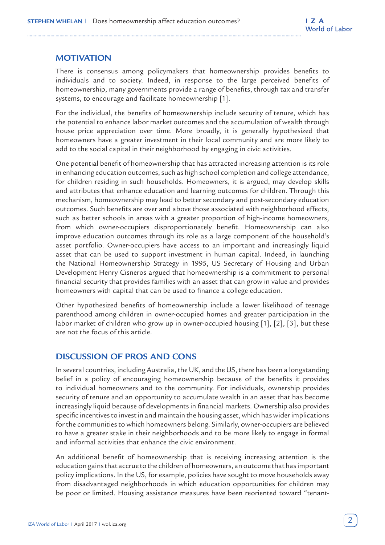# **MOTIVATION**

There is consensus among policymakers that homeownership provides benefits to individuals and to society. Indeed, in response to the large perceived benefits of homeownership, many governments provide a range of benefits, through tax and transfer systems, to encourage and facilitate homeownership [1].

For the individual, the benefits of homeownership include security of tenure, which has the potential to enhance labor market outcomes and the accumulation of wealth through house price appreciation over time. More broadly, it is generally hypothesized that homeowners have a greater investment in their local community and are more likely to add to the social capital in their neighborhood by engaging in civic activities.

One potential benefit of homeownership that has attracted increasing attention is its role in enhancing education outcomes, such as high school completion and college attendance, for children residing in such households. Homeowners, it is argued, may develop skills and attributes that enhance education and learning outcomes for children. Through this mechanism, homeownership may lead to better secondary and post-secondary education outcomes. Such benefits are over and above those associated with neighborhood effects, such as better schools in areas with a greater proportion of high-income homeowners, from which owner-occupiers disproportionately benefit. Homeownership can also improve education outcomes through its role as a large component of the household's asset portfolio. Owner-occupiers have access to an important and increasingly liquid asset that can be used to support investment in human capital. Indeed, in launching the National Homeownership Strategy in 1995, US Secretary of Housing and Urban Development Henry Cisneros argued that homeownership is a commitment to personal financial security that provides families with an asset that can grow in value and provides homeowners with capital that can be used to finance a college education.

Other hypothesized benefits of homeownership include a lower likelihood of teenage parenthood among children in owner-occupied homes and greater participation in the labor market of children who grow up in owner-occupied housing [1], [2], [3], but these are not the focus of this article.

# **DISCUSSION OF PROS AND CONS**

In several countries, including Australia, the UK, and the US, there has been a longstanding belief in a policy of encouraging homeownership because of the benefits it provides to individual homeowners and to the community. For individuals, ownership provides security of tenure and an opportunity to accumulate wealth in an asset that has become increasingly liquid because of developments in financial markets. Ownership also provides specific incentives to invest in and maintain the housing asset, which has wider implications for the communities to which homeowners belong. Similarly, owner-occupiers are believed to have a greater stake in their neighborhoods and to be more likely to engage in formal and informal activities that enhance the civic environment.

An additional benefit of homeownership that is receiving increasing attention is the education gains that accrue to the children of homeowners, an outcome that has important policy implications. In the US, for example, policies have sought to move households away from disadvantaged neighborhoods in which education opportunities for children may be poor or limited. Housing assistance measures have been reoriented toward "tenant-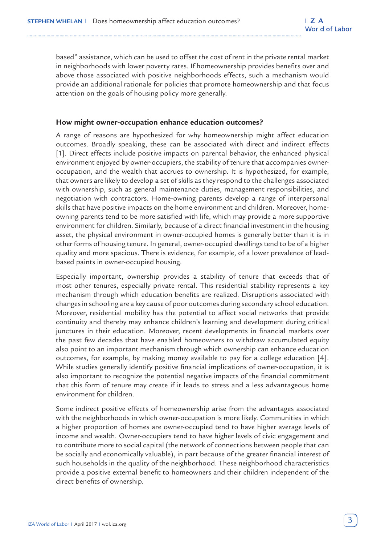based" assistance, which can be used to offset the cost of rent in the private rental market in neighborhoods with lower poverty rates. If homeownership provides benefits over and above those associated with positive neighborhoods effects, such a mechanism would provide an additional rationale for policies that promote homeownership and that focus attention on the goals of housing policy more generally.

#### **How might owner-occupation enhance education outcomes?**

A range of reasons are hypothesized for why homeownership might affect education outcomes. Broadly speaking, these can be associated with direct and indirect effects [1]. Direct effects include positive impacts on parental behavior, the enhanced physical environment enjoyed by owner-occupiers, the stability of tenure that accompanies owneroccupation, and the wealth that accrues to ownership. It is hypothesized, for example, that owners are likely to develop a set of skills as they respond to the challenges associated with ownership, such as general maintenance duties, management responsibilities, and negotiation with contractors. Home-owning parents develop a range of interpersonal skills that have positive impacts on the home environment and children. Moreover, homeowning parents tend to be more satisfied with life, which may provide a more supportive environment for children. Similarly, because of a direct financial investment in the housing asset, the physical environment in owner-occupied homes is generally better than it is in other forms of housing tenure. In general, owner-occupied dwellings tend to be of a higher quality and more spacious. There is evidence, for example, of a lower prevalence of leadbased paints in owner-occupied housing.

Especially important, ownership provides a stability of tenure that exceeds that of most other tenures, especially private rental. This residential stability represents a key mechanism through which education benefits are realized. Disruptions associated with changes in schooling are a key cause of poor outcomes during secondary school education. Moreover, residential mobility has the potential to affect social networks that provide continuity and thereby may enhance children's learning and development during critical junctures in their education. Moreover, recent developments in financial markets over the past few decades that have enabled homeowners to withdraw accumulated equity also point to an important mechanism through which ownership can enhance education outcomes, for example, by making money available to pay for a college education [4]. While studies generally identify positive financial implications of owner-occupation, it is also important to recognize the potential negative impacts of the financial commitment that this form of tenure may create if it leads to stress and a less advantageous home environment for children.

Some indirect positive effects of homeownership arise from the advantages associated with the neighborhoods in which owner-occupation is more likely. Communities in which a higher proportion of homes are owner-occupied tend to have higher average levels of income and wealth. Owner-occupiers tend to have higher levels of civic engagement and to contribute more to social capital (the network of connections between people that can be socially and economically valuable), in part because of the greater financial interest of such households in the quality of the neighborhood. These neighborhood characteristics provide a positive external benefit to homeowners and their children independent of the direct benefits of ownership.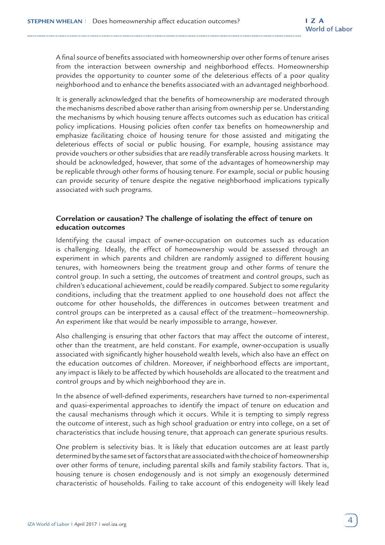A final source of benefits associated with homeownership over other forms of tenure arises from the interaction between ownership and neighborhood effects. Homeownership provides the opportunity to counter some of the deleterious effects of a poor quality neighborhood and to enhance the benefits associated with an advantaged neighborhood.

It is generally acknowledged that the benefits of homeownership are moderated through the mechanisms described above rather than arising from ownership per se. Understanding the mechanisms by which housing tenure affects outcomes such as education has critical policy implications. Housing policies often confer tax benefits on homeownership and emphasize facilitating choice of housing tenure for those assisted and mitigating the deleterious effects of social or public housing. For example, housing assistance may provide vouchers or other subsidies that are readily transferable across housing markets. It should be acknowledged, however, that some of the advantages of homeownership may be replicable through other forms of housing tenure. For example, social or public housing can provide security of tenure despite the negative neighborhood implications typically associated with such programs.

## **Correlation or causation? The challenge of isolating the effect of tenure on education outcomes**

Identifying the causal impact of owner-occupation on outcomes such as education is challenging. Ideally, the effect of homeownership would be assessed through an experiment in which parents and children are randomly assigned to different housing tenures, with homeowners being the treatment group and other forms of tenure the control group. In such a setting, the outcomes of treatment and control groups, such as children's educational achievement, could be readily compared. Subject to some regularity conditions, including that the treatment applied to one household does not affect the outcome for other households, the differences in outcomes between treatment and control groups can be interpreted as a causal effect of the treatment—homeownership. An experiment like that would be nearly impossible to arrange, however.

Also challenging is ensuring that other factors that may affect the outcome of interest, other than the treatment, are held constant. For example, owner-occupation is usually associated with significantly higher household wealth levels, which also have an effect on the education outcomes of children. Moreover, if neighborhood effects are important, any impact is likely to be affected by which households are allocated to the treatment and control groups and by which neighborhood they are in.

In the absence of well-defined experiments, researchers have turned to non-experimental and quasi-experimental approaches to identify the impact of tenure on education and the causal mechanisms through which it occurs. While it is tempting to simply regress the outcome of interest, such as high school graduation or entry into college, on a set of characteristics that include housing tenure, that approach can generate spurious results.

One problem is selectivity bias. It is likely that education outcomes are at least partly determined by the same set of factors that are associated with the choice of homeownership over other forms of tenure, including parental skills and family stability factors. That is, housing tenure is chosen endogenously and is not simply an exogenously determined characteristic of households. Failing to take account of this endogeneity will likely lead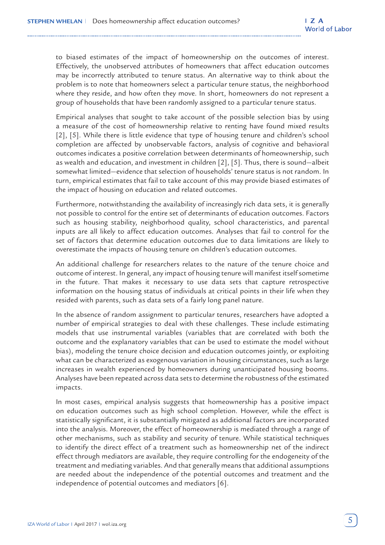to biased estimates of the impact of homeownership on the outcomes of interest. Effectively, the unobserved attributes of homeowners that affect education outcomes may be incorrectly attributed to tenure status. An alternative way to think about the problem is to note that homeowners select a particular tenure status, the neighborhood where they reside, and how often they move. In short, homeowners do not represent a group of households that have been randomly assigned to a particular tenure status.

Empirical analyses that sought to take account of the possible selection bias by using a measure of the cost of homeownership relative to renting have found mixed results [2], [5]. While there is little evidence that type of housing tenure and children's school completion are affected by unobservable factors, analysis of cognitive and behavioral outcomes indicates a positive correlation between determinants of homeownership, such as wealth and education, and investment in children [2], [5]. Thus, there is sound—albeit somewhat limited—evidence that selection of households' tenure status is not random. In turn, empirical estimates that fail to take account of this may provide biased estimates of the impact of housing on education and related outcomes.

Furthermore, notwithstanding the availability of increasingly rich data sets, it is generally not possible to control for the entire set of determinants of education outcomes. Factors such as housing stability, neighborhood quality, school characteristics, and parental inputs are all likely to affect education outcomes. Analyses that fail to control for the set of factors that determine education outcomes due to data limitations are likely to overestimate the impacts of housing tenure on children's education outcomes.

An additional challenge for researchers relates to the nature of the tenure choice and outcome of interest. In general, any impact of housing tenure will manifest itself sometime in the future. That makes it necessary to use data sets that capture retrospective information on the housing status of individuals at critical points in their life when they resided with parents, such as data sets of a fairly long panel nature.

In the absence of random assignment to particular tenures, researchers have adopted a number of empirical strategies to deal with these challenges. These include estimating models that use instrumental variables (variables that are correlated with both the outcome and the explanatory variables that can be used to estimate the model without bias), modeling the tenure choice decision and education outcomes jointly, or exploiting what can be characterized as exogenous variation in housing circumstances, such as large increases in wealth experienced by homeowners during unanticipated housing booms. Analyses have been repeated across data sets to determine the robustness of the estimated impacts.

In most cases, empirical analysis suggests that homeownership has a positive impact on education outcomes such as high school completion. However, while the effect is statistically significant, it is substantially mitigated as additional factors are incorporated into the analysis. Moreover, the effect of homeownership is mediated through a range of other mechanisms, such as stability and security of tenure. While statistical techniques to identify the direct effect of a treatment such as homeownership net of the indirect effect through mediators are available, they require controlling for the endogeneity of the treatment and mediating variables. And that generally means that additional assumptions are needed about the independence of the potential outcomes and treatment and the independence of potential outcomes and mediators [6].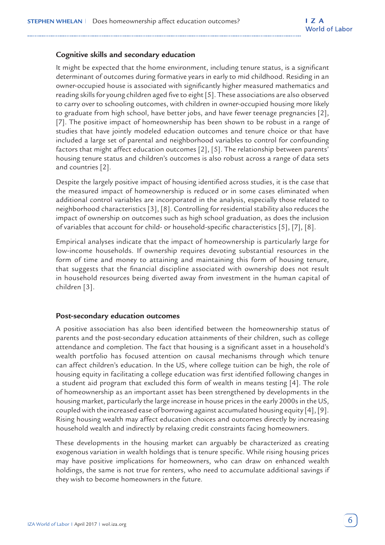#### **Cognitive skills and secondary education**

It might be expected that the home environment, including tenure status, is a significant determinant of outcomes during formative years in early to mid childhood. Residing in an owner-occupied house is associated with significantly higher measured mathematics and reading skills for young children aged five to eight [5]. These associations are also observed to carry over to schooling outcomes, with children in owner-occupied housing more likely to graduate from high school, have better jobs, and have fewer teenage pregnancies [2], [7]. The positive impact of homeownership has been shown to be robust in a range of studies that have jointly modeled education outcomes and tenure choice or that have included a large set of parental and neighborhood variables to control for confounding factors that might affect education outcomes [2], [5]. The relationship between parents' housing tenure status and children's outcomes is also robust across a range of data sets and countries [2].

Despite the largely positive impact of housing identified across studies, it is the case that the measured impact of homeownership is reduced or in some cases eliminated when additional control variables are incorporated in the analysis, especially those related to neighborhood characteristics [3], [8]. Controlling for residential stability also reduces the impact of ownership on outcomes such as high school graduation, as does the inclusion of variables that account for child- or household-specific characteristics [5], [7], [8].

Empirical analyses indicate that the impact of homeownership is particularly large for low-income households. If ownership requires devoting substantial resources in the form of time and money to attaining and maintaining this form of housing tenure, that suggests that the financial discipline associated with ownership does not result in household resources being diverted away from investment in the human capital of children [3].

#### **Post-secondary education outcomes**

A positive association has also been identified between the homeownership status of parents and the post-secondary education attainments of their children, such as college attendance and completion. The fact that housing is a significant asset in a household's wealth portfolio has focused attention on causal mechanisms through which tenure can affect children's education. In the US, where college tuition can be high, the role of housing equity in facilitating a college education was first identified following changes in a student aid program that excluded this form of wealth in means testing [4]. The role of homeownership as an important asset has been strengthened by developments in the housing market, particularly the large increase in house prices in the early 2000s in the US, coupled with the increased ease of borrowing against accumulated housing equity [4], [9]. Rising housing wealth may affect education choices and outcomes directly by increasing household wealth and indirectly by relaxing credit constraints facing homeowners.

These developments in the housing market can arguably be characterized as creating exogenous variation in wealth holdings that is tenure specific. While rising housing prices may have positive implications for homeowners, who can draw on enhanced wealth holdings, the same is not true for renters, who need to accumulate additional savings if they wish to become homeowners in the future.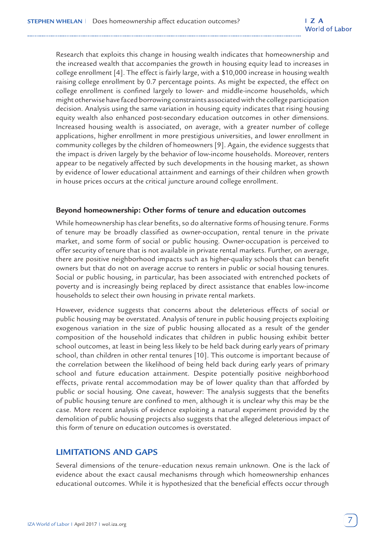Research that exploits this change in housing wealth indicates that homeownership and the increased wealth that accompanies the growth in housing equity lead to increases in college enrollment [4]. The effect is fairly large, with a \$10,000 increase in housing wealth raising college enrollment by 0.7 percentage points. As might be expected, the effect on college enrollment is confined largely to lower- and middle-income households, which might otherwise have faced borrowing constraints associated with the college participation decision. Analysis using the same variation in housing equity indicates that rising housing equity wealth also enhanced post-secondary education outcomes in other dimensions. Increased housing wealth is associated, on average, with a greater number of college applications, higher enrollment in more prestigious universities, and lower enrollment in community colleges by the children of homeowners [9]. Again, the evidence suggests that the impact is driven largely by the behavior of low-income households. Moreover, renters appear to be negatively affected by such developments in the housing market, as shown by evidence of lower educational attainment and earnings of their children when growth in house prices occurs at the critical juncture around college enrollment.

#### **Beyond homeownership: Other forms of tenure and education outcomes**

While homeownership has clear benefits, so do alternative forms of housing tenure. Forms of tenure may be broadly classified as owner-occupation, rental tenure in the private market, and some form of social or public housing. Owner-occupation is perceived to offer security of tenure that is not available in private rental markets. Further, on average, there are positive neighborhood impacts such as higher-quality schools that can benefit owners but that do not on average accrue to renters in public or social housing tenures. Social or public housing, in particular, has been associated with entrenched pockets of poverty and is increasingly being replaced by direct assistance that enables low-income households to select their own housing in private rental markets.

However, evidence suggests that concerns about the deleterious effects of social or public housing may be overstated. Analysis of tenure in public housing projects exploiting exogenous variation in the size of public housing allocated as a result of the gender composition of the household indicates that children in public housing exhibit better school outcomes, at least in being less likely to be held back during early years of primary school, than children in other rental tenures [10]. This outcome is important because of the correlation between the likelihood of being held back during early years of primary school and future education attainment. Despite potentially positive neighborhood effects, private rental accommodation may be of lower quality than that afforded by public or social housing. One caveat, however: The analysis suggests that the benefits of public housing tenure are confined to men, although it is unclear why this may be the case. More recent analysis of evidence exploiting a natural experiment provided by the demolition of public housing projects also suggests that the alleged deleterious impact of this form of tenure on education outcomes is overstated.

# **LIMITATIONS AND GAPS**

Several dimensions of the tenure–education nexus remain unknown. One is the lack of evidence about the exact causal mechanisms through which homeownership enhances educational outcomes. While it is hypothesized that the beneficial effects occur through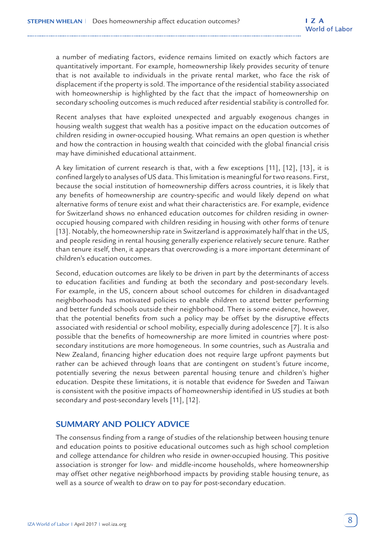a number of mediating factors, evidence remains limited on exactly which factors are quantitatively important. For example, homeownership likely provides security of tenure that is not available to individuals in the private rental market, who face the risk of displacement if the property is sold. The importance of the residential stability associated with homeownership is highlighted by the fact that the impact of homeownership on secondary schooling outcomes is much reduced after residential stability is controlled for.

Recent analyses that have exploited unexpected and arguably exogenous changes in housing wealth suggest that wealth has a positive impact on the education outcomes of children residing in owner-occupied housing. What remains an open question is whether and how the contraction in housing wealth that coincided with the global financial crisis may have diminished educational attainment.

A key limitation of current research is that, with a few exceptions [11], [12], [13], it is confined largely to analyses of US data. This limitation is meaningful for two reasons. First, because the social institution of homeownership differs across countries, it is likely that any benefits of homeownership are country-specific and would likely depend on what alternative forms of tenure exist and what their characteristics are. For example, evidence for Switzerland shows no enhanced education outcomes for children residing in owneroccupied housing compared with children residing in housing with other forms of tenure [13]. Notably, the homeownership rate in Switzerland is approximately half that in the US, and people residing in rental housing generally experience relatively secure tenure. Rather than tenure itself, then, it appears that overcrowding is a more important determinant of children's education outcomes.

Second, education outcomes are likely to be driven in part by the determinants of access to education facilities and funding at both the secondary and post-secondary levels. For example, in the US, concern about school outcomes for children in disadvantaged neighborhoods has motivated policies to enable children to attend better performing and better funded schools outside their neighborhood. There is some evidence, however, that the potential benefits from such a policy may be offset by the disruptive effects associated with residential or school mobility, especially during adolescence [7]. It is also possible that the benefits of homeownership are more limited in countries where postsecondary institutions are more homogeneous. In some countries, such as Australia and New Zealand, financing higher education does not require large upfront payments but rather can be achieved through loans that are contingent on student's future income, potentially severing the nexus between parental housing tenure and children's higher education. Despite these limitations, it is notable that evidence for Sweden and Taiwan is consistent with the positive impacts of homeownership identified in US studies at both secondary and post-secondary levels [11], [12].

## **SUMMARY AND POLICY ADVICE**

The consensus finding from a range of studies of the relationship between housing tenure and education points to positive educational outcomes such as high school completion and college attendance for children who reside in owner-occupied housing. This positive association is stronger for low- and middle-income households, where homeownership may offset other negative neighborhood impacts by providing stable housing tenure, as well as a source of wealth to draw on to pay for post-secondary education.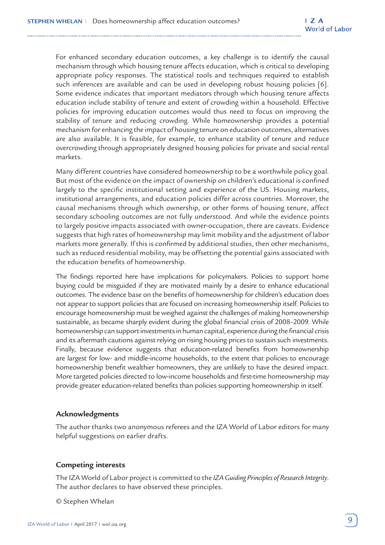For enhanced secondary education outcomes, a key challenge is to identify the causal mechanism through which housing tenure affects education, which is critical to developing appropriate policy responses. The statistical tools and techniques required to establish such inferences are available and can be used in developing robust housing policies [6]. Some evidence indicates that important mediators through which housing tenure affects education include stability of tenure and extent of crowding within a household. Effective policies for improving education outcomes would thus need to focus on improving the stability of tenure and reducing crowding. While homeownership provides a potential mechanism for enhancing the impact of housing tenure on education outcomes, alternatives are also available. It is feasible, for example, to enhance stability of tenure and reduce overcrowding through appropriately designed housing policies for private and social rental markets.

Many different countries have considered homeownership to be a worthwhile policy goal. But most of the evidence on the impact of ownership on children's educational is confined largely to the specific institutional setting and experience of the US. Housing markets, institutional arrangements, and education policies differ across countries. Moreover, the causal mechanisms through which ownership, or other forms of housing tenure, affect secondary schooling outcomes are not fully understood. And while the evidence points to largely positive impacts associated with owner-occupation, there are caveats. Evidence suggests that high rates of homeownership may limit mobility and the adjustment of labor markets more generally. If this is confirmed by additional studies, then other mechanisms, such as reduced residential mobility, may be offsetting the potential gains associated with the education benefits of homeownership.

The findings reported here have implications for policymakers. Policies to support home buying could be misguided if they are motivated mainly by a desire to enhance educational outcomes. The evidence base on the benefits of homeownership for children's education does not appear to support policies that are focused on increasing homeownership itself. Policies to encourage homeownership must be weighed against the challenges of making homeownership sustainable, as became sharply evident during the global financial crisis of 2008–2009. While homeownership can support investments in human capital, experience during the financial crisis and its aftermath cautions against relying on rising housing prices to sustain such investments. Finally, because evidence suggests that education-related benefits from homeownership are largest for low- and middle-income households, to the extent that policies to encourage homeownership benefit wealthier homeowners, they are unlikely to have the desired impact. More targeted policies directed to low-income households and first-time homeownership may provide greater education-related benefits than policies supporting homeownership in itself.

#### **Acknowledgments**

The author thanks two anonymous referees and the IZA World of Labor editors for many helpful suggestions on earlier drafts.

## **Competing interests**

The IZA World of Labor project is committed to the *IZA Guiding Principles of Research Integrity*. The author declares to have observed these principles.

© Stephen Whelan